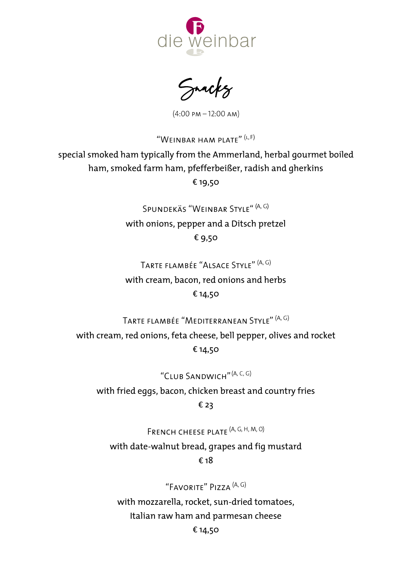

 $(4:00 \text{ PM} - 12:00 \text{ AM})$ 

"WEINBAR HAM PLATE"  $(L, F)$ special smoked ham typically from the Ammerland, herbal gourmet boiled ham, smoked farm ham, pfefferbeißer, radish and gherkins € 19,50

> SPUNDEKÄS "WEINBAR STYLE" (A, G) with onions, pepper and a Ditsch pretzel € 9,50

TARTE FLAMBÉE "ALSACE STYLE" (A, G)

with cream, bacon, red onions and herbs € 14,50

TARTE FLAMBÉE "MEDITERRANEAN STYLE" (A, G)

with cream, red onions, feta cheese, bell pepper, olives and rocket € 14,50

"CLUB SANDWICH" (A, C, G)

with fried eggs, bacon, chicken breast and country fries € 23

FRENCH CHEESE PLATE (A, G, H, M, O)

with date-walnut bread, grapes and fig mustard € 18

"FAVORITE" PIZZA <sup>(A, G)</sup>

with mozzarella, rocket, sun-dried tomatoes, Italian raw ham and parmesan cheese

€ 14,50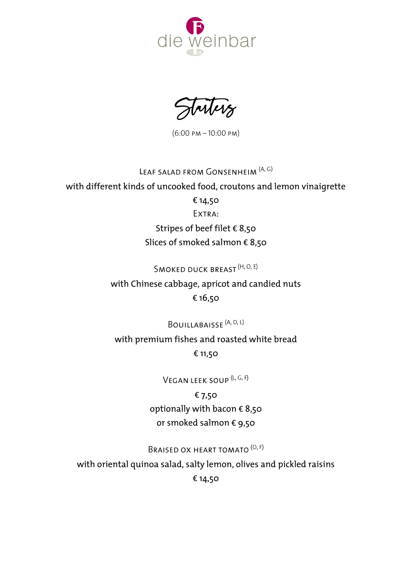

Starters

 $(6:00 \text{ PM} - 10:00 \text{ PM})$ 

## LEAF SALAD FROM GONSENHEIM (A, G)

with different kinds of uncooked food, croutons and lemon vinaigrette € 14,50 EXTRA: Stripes of beef filet € 8,50 Slices of smoked salmon € 8,50

## SMOKED DUCK BREAST (H, O, E)

with Chinese cabbage, apricot and candied nuts € 16,50

BOUILLABAISSE<sup>(A, D, L)</sup>

with premium fishes and roasted white bread € 11,50

VEGAN LEEK SOUP<sup>(L, G, F)</sup>

€ 7,50 optionally with bacon  $\epsilon$  8,50 or smoked salmon € 9,50

BRAISED OX HEART TOMATO<sup>(O, F)</sup>

with oriental quinoa salad, salty lemon, olives and pickled raisins € 14,50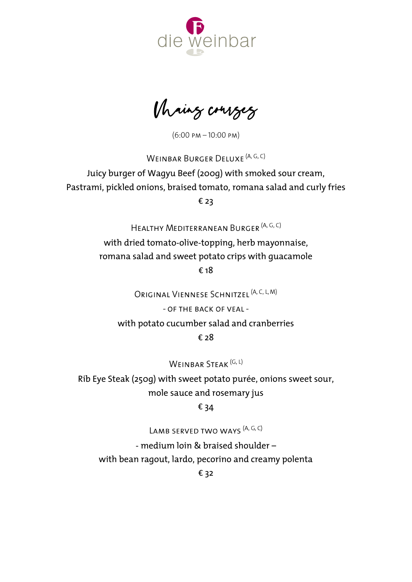

Mains courses

 $(6:00 \text{ PM} - 10:00 \text{ PM})$ 

WEINBAR BURGER DELUXE (A, G, C)

Juicy burger of Wagyu Beef (200g) with smoked sour cream, Pastrami, pickled onions, braised tomato, romana salad and curly fries € 23

HEALTHY MEDITERRANEAN BURGER (A, G, C)

with dried tomato-olive-topping, herb mayonnaise, romana salad and sweet potato crips with guacamole € 18

ORIGINAL VIENNESE SCHNITZEL<sup>(A, C, L, M)</sup>

 $-$  OF THE BACK OF VEAL -

with potato cucumber salad and cranberries

€ 28

WEINBAR STEAK (G, L)

Rib Eye Steak (250g) with sweet potato purée, onions sweet sour, mole sauce and rosemary jus

€ 34

LAMB SERVED TWO WAYS<sup>(A, G, C)</sup>

- medium loin & braised shoulder – with bean ragout, lardo, pecorino and creamy polenta

€ 32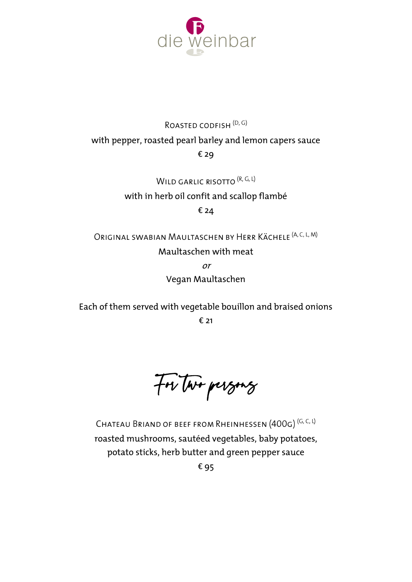

## ROASTED CODFISH<sup>(D, G)</sup> with pepper, roasted pearl barley and lemon capers sauce € 29

WILD GARLIC RISOTTO (R, G, L) with in herb oil confit and scallop flambé € 24

ORIGINAL SWABIAN MAULTASCHEN BY HERR KÄCHELE (A, C, L, M) Maultaschen with meat or

Vegan Maultaschen

Each of them served with vegetable bouillon and braised onions € 21

For two persons

CHATEAU BRIAND OF BEEF FROM RHEINHESSEN (400G)<sup>(G, C, L)</sup> roasted mushrooms, sautéed vegetables, baby potatoes, potato sticks, herb butter and green pepper sauce € 95